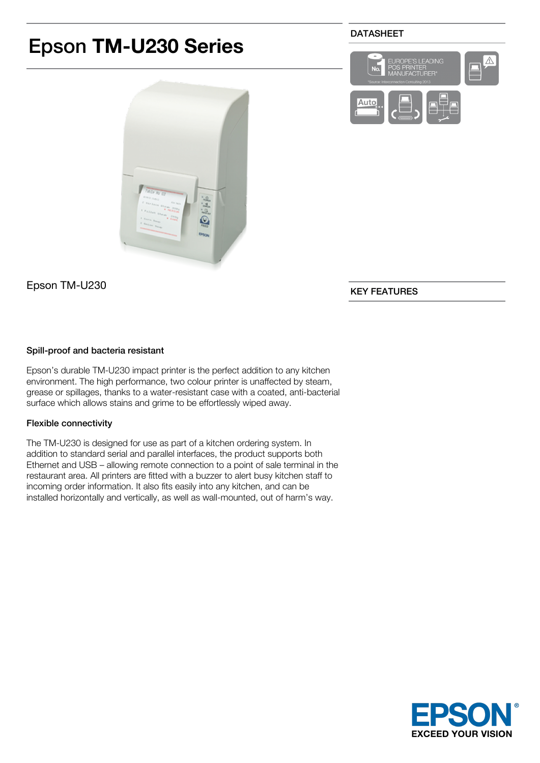# Epson **TM-U230 Series**

Epson TM-U230

# KEY FEATURES

## Spill-proof and bacteria resistant

Epson's durable TM-U230 impact printer is the perfect addition to any kitchen environment. The high performance, two colour printer is unaffected by steam, grease or spillages, thanks to a water-resistant case with a coated, anti-bacterial surface which allows stains and grime to be effortlessly wiped away.

## Flexible connectivity

The TM-U230 is designed for use as part of a kitchen ordering system. In addition to standard serial and parallel interfaces, the product supports both Ethernet and USB – allowing remote connection to a point of sale terminal in the restaurant area. All printers are fitted with a buzzer to alert busy kitchen staff to incoming order information. It also fits easily into any kitchen, and can be installed horizontally and vertically, as well as wall-mounted, out of harm's way.





Auto





 $\overline{\mathbb{A}}$ 

S LEADING